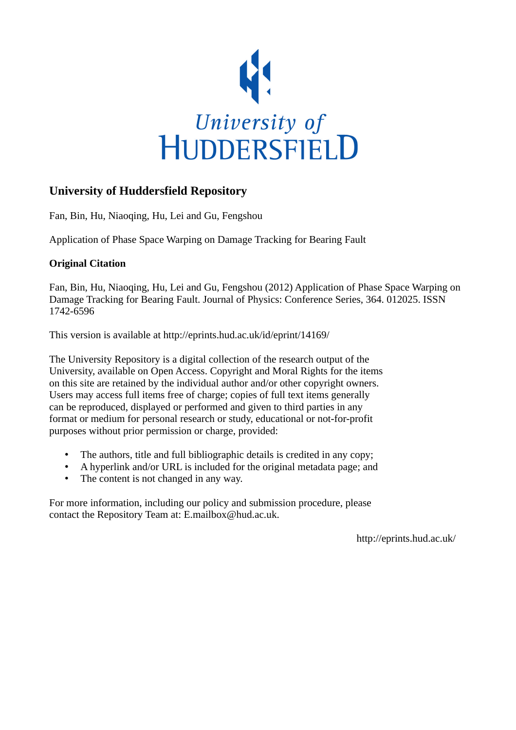

# **University of Huddersfield Repository**

Fan, Bin, Hu, Niaoqing, Hu, Lei and Gu, Fengshou

Application of Phase Space Warping on Damage Tracking for Bearing Fault

# **Original Citation**

Fan, Bin, Hu, Niaoqing, Hu, Lei and Gu, Fengshou (2012) Application of Phase Space Warping on Damage Tracking for Bearing Fault. Journal of Physics: Conference Series, 364. 012025. ISSN 1742-6596

This version is available at http://eprints.hud.ac.uk/id/eprint/14169/

The University Repository is a digital collection of the research output of the University, available on Open Access. Copyright and Moral Rights for the items on this site are retained by the individual author and/or other copyright owners. Users may access full items free of charge; copies of full text items generally can be reproduced, displayed or performed and given to third parties in any format or medium for personal research or study, educational or not-for-profit purposes without prior permission or charge, provided:

- The authors, title and full bibliographic details is credited in any copy;
- A hyperlink and/or URL is included for the original metadata page; and
- The content is not changed in any way.

For more information, including our policy and submission procedure, please contact the Repository Team at: E.mailbox@hud.ac.uk.

http://eprints.hud.ac.uk/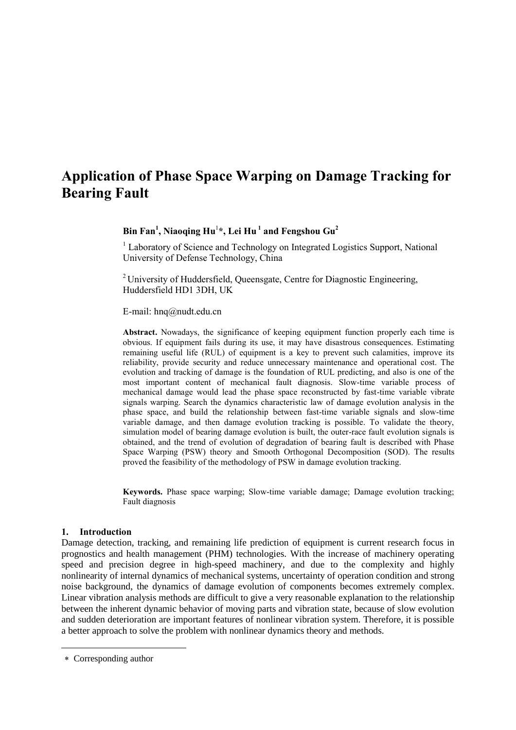# **Application of Phase Space Warping on Damage Tracking for Bearing Fault**

**Bin Fan<sup>1</sup> , Niaoqing Hu**<sup>1</sup> **\*, Lei Hu <sup>1</sup> and Fengshou Gu<sup>2</sup>**

<sup>1</sup> Laboratory of Science and Technology on Integrated Logistics Support, National University of Defense Technology, China

<sup>2</sup> University of Huddersfield, Queensgate, Centre for Diagnostic Engineering, Huddersfield HD1 3DH, UK

E-mail: hnq@nudt.edu.cn

**Abstract.** Nowadays, the significance of keeping equipment function properly each time is obvious. If equipment fails during its use, it may have disastrous consequences. Estimating remaining useful life (RUL) of equipment is a key to prevent such calamities, improve its reliability, provide security and reduce unnecessary maintenance and operational cost. The evolution and tracking of damage is the foundation of RUL predicting, and also is one of the most important content of mechanical fault diagnosis. Slow-time variable process of mechanical damage would lead the phase space reconstructed by fast-time variable vibrate signals warping. Search the dynamics characteristic law of damage evolution analysis in the phase space, and build the relationship between fast-time variable signals and slow-time variable damage, and then damage evolution tracking is possible. To validate the theory, simulation model of bearing damage evolution is built, the outer-race fault evolution signals is obtained, and the trend of evolution of degradation of bearing fault is described with Phase Space Warping (PSW) theory and Smooth Orthogonal Decomposition (SOD). The results proved the feasibility of the methodology of PSW in damage evolution tracking.

**Keywords.** Phase space warping; Slow-time variable damage; Damage evolution tracking; Fault diagnosis

# **1. Introduction**

Damage detection, tracking, and remaining life prediction of equipment is current research focus in prognostics and health management (PHM) technologies. With the increase of machinery operating speed and precision degree in high-speed machinery, and due to the complexity and highly nonlinearity of internal dynamics of mechanical systems, uncertainty of operation condition and strong noise background, the dynamics of damage evolution of components becomes extremely complex. Linear vibration analysis methods are difficult to give a very reasonable explanation to the relationship between the inherent dynamic behavior of moving parts and vibration state, because of slow evolution and sudden deterioration are important features of nonlinear vibration system. Therefore, it is possible a better approach to solve the problem with nonlinear dynamics theory and methods.

 $\overline{a}$ 

<sup>\*</sup> Corresponding author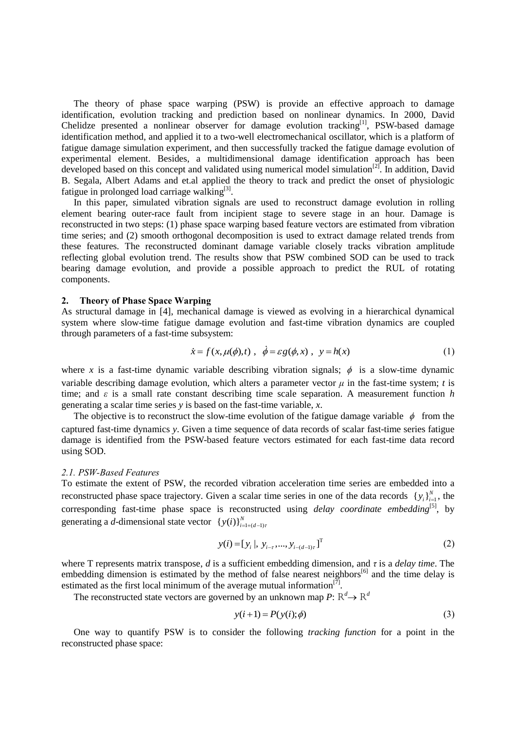The theory of phase space warping (PSW) is provide an effective approach to damage identification, evolution tracking and prediction based on nonlinear dynamics. In 2000, David Chelidze presented a nonlinear observer for damage evolution tracking<sup>[1]</sup>, PSW-based damage identification method, and applied it to a two-well electromechanical oscillator, which is a platform of fatigue damage simulation experiment, and then successfully tracked the fatigue damage evolution of experimental element. Besides, a multidimensional damage identification approach has been developed based on this concept and validated using numerical model simulation<sup>[2]</sup>. In addition, David B. Segala, Albert Adams and et.al applied the theory to track and predict the onset of physiologic fatigue in prolonged load carriage walking<sup>[3]</sup>.

In this paper, simulated vibration signals are used to reconstruct damage evolution in rolling element bearing outer-race fault from incipient stage to severe stage in an hour. Damage is reconstructed in two steps: (1) phase space warping based feature vectors are estimated from vibration time series; and (2) smooth orthogonal decomposition is used to extract damage related trends from these features. The reconstructed dominant damage variable closely tracks vibration amplitude reflecting global evolution trend. The results show that PSW combined SOD can be used to track bearing damage evolution, and provide a possible approach to predict the RUL of rotating components.

# **2. Theory of Phase Space Warping**

As structural damage in [4], mechanical damage is viewed as evolving in a hierarchical dynamical system where slow-time fatigue damage evolution and fast-time vibration dynamics are coupled through parameters of a fast-time subsystem:

subsystem:  
\n
$$
\dot{x} = f(x, \mu(\phi), t) , \dot{\phi} = \varepsilon g(\phi, x) , y = h(x)
$$
\n(1)

where x is a fast-time dynamic variable describing vibration signals;  $\phi$  is a slow-time dynamic variable describing damage evolution, which alters a parameter vector  $\mu$  in the fast-time system; *t* is time; and *ε* is a small rate constant describing time scale separation. A measurement function *h* generating a scalar time series *y* is based on the fast-time variable, *x*.

The objective is to reconstruct the slow-time evolution of the fatigue damage variable  $\phi$  from the captured fast-time dynamics *y*. Given a time sequence of data records of scalar fast-time series fatigue damage is identified from the PSW-based feature vectors estimated for each fast-time data record using SOD.

# *2.1. PSW-Based Features*

To estimate the extent of PSW, the recorded vibration acceleration time series are embedded into a reconstructed phase space trajectory. Given a scalar time series in one of the data records  $\{y_i\}_{i=1}^N$ , the corresponding fast-time phase space is reconstructed using *delay coordinate embedding*<sup>[5]</sup>, by generating a *d*-dimensional state vector  $\{y(i)\}_{i=1+(d-1)\tau}^N$ 

$$
y(i) = [y_i |, y_{i-\tau}, ..., y_{i-(d-1)\tau}]^T
$$
 (2)

where T represents matrix transpose, *d* is a sufficient embedding dimension, and *τ* is a *delay time*. The embedding dimension is estimated by the method of false nearest neighbors<sup>[6]</sup> and the time delay is estimated as the first local minimum of the average mutual information<sup>[7]</sup>.

The reconstructed state vectors are governed by an unknown map  $P: \mathbb{R}^d \to \mathbb{R}^d$ 

$$
y(i+1) = P(y(i); \phi)
$$
\n(3)

One way to quantify PSW is to consider the following *tracking function* for a point in the reconstructed phase space: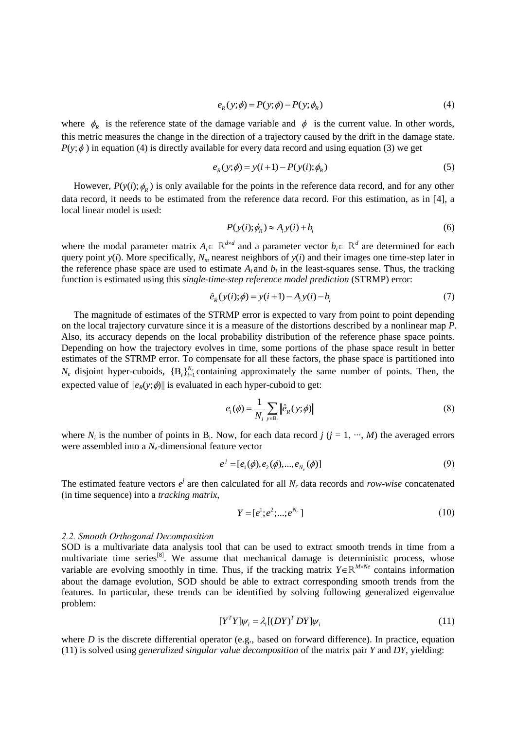$$
e_R(y; \phi) = P(y; \phi) - P(y; \phi_R)
$$
\n<sup>(4)</sup>

where  $\phi_R$  is the reference state of the damage variable and  $\phi$  is the current value. In other words, this metric measures the change in the direction of a trajectory caused by the drift in the damage state.  $P(y; \phi)$  in equation (4) is directly available for every data record and using equation (3) we get

$$
e_R(y; \phi) = y(i+1) - P(y(i); \phi_R)
$$
 (5)

However,  $P(y(i); \phi_R)$  is only available for the points in the reference data record, and for any other data record, it needs to be estimated from the reference data record. For this estimation, as in [4], a local linear model is used:

$$
P(y(i); \phi_R) \approx A_i y(i) + b_i \tag{6}
$$

where the modal parameter matrix  $A_i \in \mathbb{R}^{d \times d}$  and a parameter vector  $b_i \in \mathbb{R}^d$  are determined for each query point  $y(i)$ . More specifically,  $N_m$  nearest neighbors of  $y(i)$  and their images one time-step later in the reference phase space are used to estimate  $A_i$  and  $b_i$  in the least-squares sense. Thus, the tracking function is estimated using this *single-time-step reference model prediction* (STRMP) error:

$$
\hat{e}_R(y(i); \phi) = y(i+1) - A_i y(i) - b_i
$$
\n(7)

The magnitude of estimates of the STRMP error is expected to vary from point to point depending on the local trajectory curvature since it is a measure of the distortions described by a nonlinear map *P*. Also, its accuracy depends on the local probability distribution of the reference phase space points. Depending on how the trajectory evolves in time, some portions of the phase space result in better estimates of the STRMP error. To compensate for all these factors, the phase space is partitioned into  $N_e$  disjoint hyper-cuboids,  ${B_i}_{i=1}^{N_e}$  containing approximately the same number of points. Then, the expected value of  $\|e_R(v;\phi)\|$  is evaluated in each hyper-cuboid to get:

$$
e_i(\phi) = \frac{1}{N_i} \sum_{y \in B_i} \left\| \hat{e}_R(y; \phi) \right\|
$$
 (8)

where  $N_i$  is the number of points in B<sub>i</sub>. Now, for each data record  $j$  ( $j = 1, \dots, M$ ) the averaged errors were assembled into a *Ne*-dimensional feature vector

$$
e^{j} = [e_{1}(\phi), e_{2}(\phi), ..., e_{N_e}(\phi)]
$$
\n(9)

The estimated feature vectors  $e^j$  are then calculated for all  $N_r$  data records and *row-wise* concatenated (in time sequence) into a *tracking matrix*,

$$
Y = [e^1; e^2; \dots; e^{N_r}]
$$
\n(10)

# *2.2. Smooth Orthogonal Decomposition*

SOD is a multivariate data analysis tool that can be used to extract smooth trends in time from a multivariate time series<sup>[8]</sup>. We assume that mechanical damage is deterministic process, whose variable are evolving smoothly in time. Thus, if the tracking matrix  $Y \in \mathbb{R}^{M \times N_e}$  contains information about the damage evolution, SOD should be able to extract corresponding smooth trends from the features. In particular, these trends can be identified by solving following generalized eigenvalue problem:

$$
[Y^T Y]\psi_i = \lambda_i [(DY)^T DY]\psi_i
$$
\n(11)

where  $D$  is the discrete differential operator (e.g., based on forward difference). In practice, equation (11) is solved using *generalized singular value decomposition* of the matrix pair *Y* and *DY*, yielding: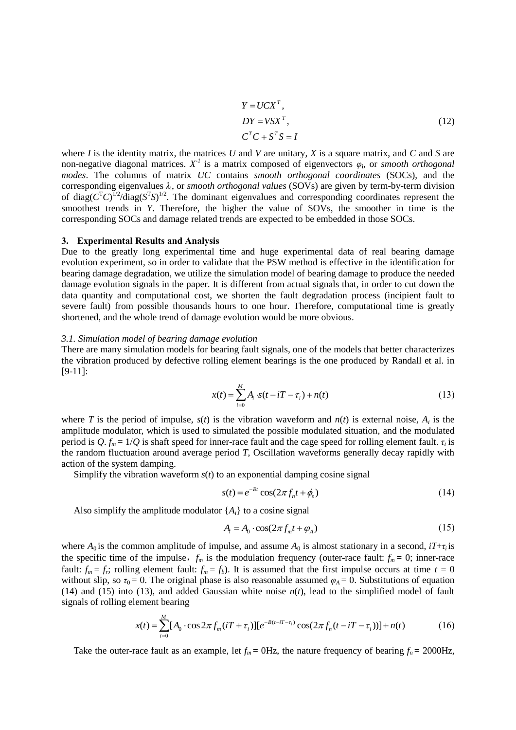$$
Y = UCX^{T},
$$
  
\n
$$
DY = VSX^{T},
$$
  
\n
$$
C^{T}C + S^{T}S = I
$$
\n(12)

where *I* is the identity matrix, the matrices *U* and *V* are unitary, *X* is a square matrix, and *C* and *S* are non-negative diagonal matrices.  $X^I$  is a matrix composed of eigenvectors  $\varphi_i$ , or *smooth orthogonal modes*. The columns of matrix *UC* contains *smooth orthogonal coordinates* (SOCs), and the corresponding eigenvalues *λ*<sup>i</sup> , or *smooth orthogonal values* (SOVs) are given by term-by-term division of diag( $C^T C$ )<sup>1/2</sup>/diag( $S^T S$ )<sup>1/2</sup>. The dominant eigenvalues and corresponding coordinates represent the smoothest trends in *Y*. Therefore, the higher the value of SOVs, the smoother in time is the corresponding SOCs and damage related trends are expected to be embedded in those SOCs.

# **3. Experimental Results and Analysis**

Due to the greatly long experimental time and huge experimental data of real bearing damage evolution experiment, so in order to validate that the PSW method is effective in the identification for bearing damage degradation, we utilize the simulation model of bearing damage to produce the needed damage evolution signals in the paper. It is different from actual signals that, in order to cut down the data quantity and computational cost, we shorten the fault degradation process (incipient fault to severe fault) from possible thousands hours to one hour. Therefore, computational time is greatly shortened, and the whole trend of damage evolution would be more obvious.

## *3.1. Simulation model of bearing damage evolution*

There are many simulation models for bearing fault signals, one of the models that better characterizes the vibration produced by defective rolling element bearings is the one produced by Randall et al. in [9-11]:

$$
x(t) = \sum_{i=0}^{M} A_i \cdot s(t - iT - \tau_i) + n(t)
$$
\n(13)

where *T* is the period of impulse,  $s(t)$  is the vibration waveform and  $n(t)$  is external noise,  $A_i$  is the amplitude modulator, which is used to simulated the possible modulated situation, and the modulated period is  $Q \cdot f_m = 1/Q$  is shaft speed for inner-race fault and the cage speed for rolling element fault.  $\tau_i$  is the random fluctuation around average period *T*, Oscillation waveforms generally decay rapidly with action of the system damping.

Simplify the vibration waveform *s*(*t*) to an exponential damping cosine signal

$$
s(t) = e^{-Bt} \cos(2\pi f_n t + \phi_s)
$$
\n(14)

Also simplify the amplitude modulator  ${A_i}$  to a cosine signal

$$
A_i = A_0 \cdot \cos(2\pi f_m t + \varphi_A)
$$
\n(15)

where  $A_0$  is the common amplitude of impulse, and assume  $A_0$  is almost stationary in a second,  $iT + \tau_i$  is the specific time of the impulse,  $f_m$  is the modulation frequency (outer-race fault:  $f_m = 0$ ; inner-race fault:  $f_m = f_r$ ; rolling element fault:  $f_m = f_b$ ). It is assumed that the first impulse occurs at time  $t = 0$ without slip, so  $\tau_0 = 0$ . The original phase is also reasonable assumed  $\varphi_A = 0$ . Substitutions of equation (14) and (15) into (13), and added Gaussian white noise *n*(*t*), lead to the simplified model of fault signals of rolling element bearing

element bearing  
\n
$$
x(t) = \sum_{i=0}^{M} [A_0 \cdot \cos 2\pi f_m (iT + \tau_i)][e^{-B(t-iT - \tau_i)} \cos(2\pi f_n (t-iT - \tau_i))] + n(t)
$$
\n(16)

Take the outer-race fault as an example, let  $f_m = 0$ Hz, the nature frequency of bearing  $f_n = 2000$ Hz,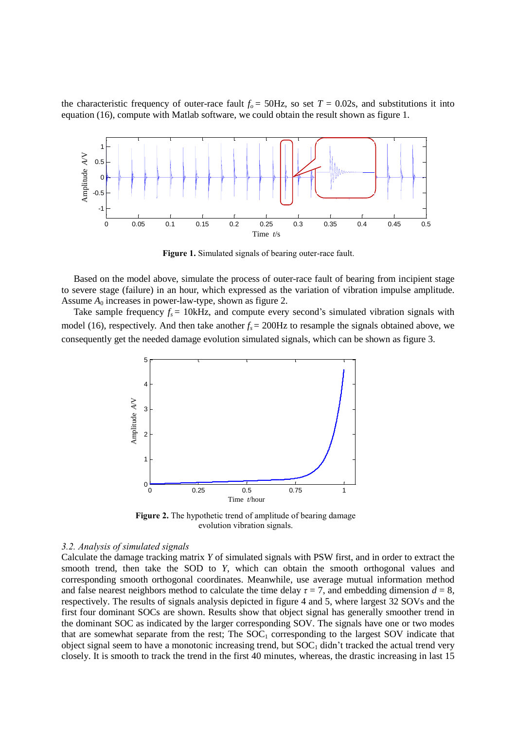the characteristic frequency of outer-race fault  $f<sub>o</sub> = 50$ Hz, so set  $T = 0.02$ s, and substitutions it into equation (16), compute with Matlab software, we could obtain the result shown as figure 1.



Figure 1. Simulated signals of bearing outer-race fault.

to severe stage (failure) in an hour, which expressed as the variation of vibration impulse amplitude. Based on the model above, simulate the process of outer-race fault of bearing from incipient stage Assume *A*<sup>0</sup> increases in power-law-type, shown as figure 2.

consequently get the needed damage evolution simulated signals, which can be shown as figure 3. model (16), respectively. And then take another  $f_s = 200$  Hz to resample the signals obtained above, we Take sample frequency  $f_s = 10$ kHz, and compute every second's simulated vibration signals with



Figure 2. The hypothetic trend of amplitude of bearing damage evolution vibration signals.

#### *3.2. Analysis of simulated signals*

Calculate the damage tracking matrix *Y* of simulated signals with PSW first, and in order to extract the smooth trend, then take the SOD to *Y*, which can obtain the smooth orthogonal values and corresponding smooth orthogonal coordinates. Meanwhile, use average mutual information method and false nearest neighbors method to calculate the time delay  $\tau = 7$ , and embedding dimension  $d = 8$ , respectively. The results of signals analysis depicted in figure 4 and 5, where largest 32 SOVs and the first four dominant SOCs are shown. Results show that object signal has generally smoother trend in the dominant SOC as indicated by the larger corresponding SOV. The signals have one or two modes that are somewhat separate from the rest; The  $SOC<sub>1</sub>$  corresponding to the largest SOV indicate that object signal seem to have a monotonic increasing trend, but  $SOC<sub>1</sub>$  didn't tracked the actual trend very closely. It is smooth to track the trend in the first 40 minutes, whereas, the drastic increasing in last 15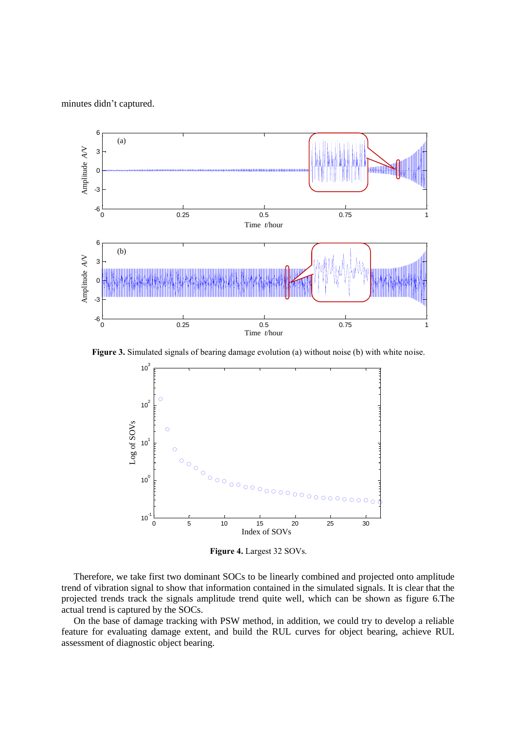minutes didn't captured.



**Figure 3.** Simulated signals of bearing damage evolution (a) without noise (b) with white noise.



**Figure 4.** Largest 32 SOVs.

Therefore, we take first two dominant SOCs to be linearly combined and projected onto amplitude trend of vibration signal to show that information contained in the simulated signals. It is clear that the projected trends track the signals amplitude trend quite well, which can be shown as figure 6.The actual trend is captured by the SOCs.

On the base of damage tracking with PSW method, in addition, we could try to develop a reliable feature for evaluating damage extent, and build the RUL curves for object bearing, achieve RUL assessment of diagnostic object bearing.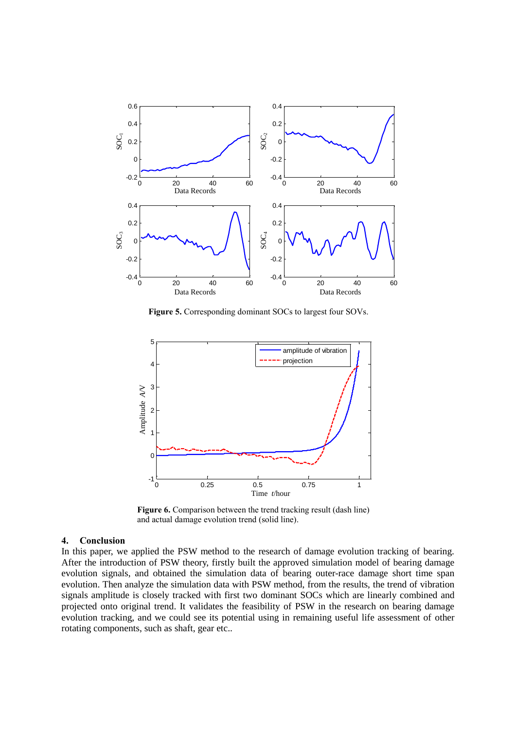

**Figure 5.** Corresponding dominant SOCs to largest four SOVs.



**Figure 6.** Comparison between the trend tracking result (dash line) and actual damage evolution trend (solid line).

## **4. Conclusion**

In this paper, we applied the PSW method to the research of damage evolution tracking of bearing. After the introduction of PSW theory, firstly built the approved simulation model of bearing damage evolution signals, and obtained the simulation data of bearing outer-race damage short time span evolution. Then analyze the simulation data with PSW method, from the results, the trend of vibration signals amplitude is closely tracked with first two dominant SOCs which are linearly combined and projected onto original trend. It validates the feasibility of PSW in the research on bearing damage evolution tracking, and we could see its potential using in remaining useful life assessment of other rotating components, such as shaft, gear etc..